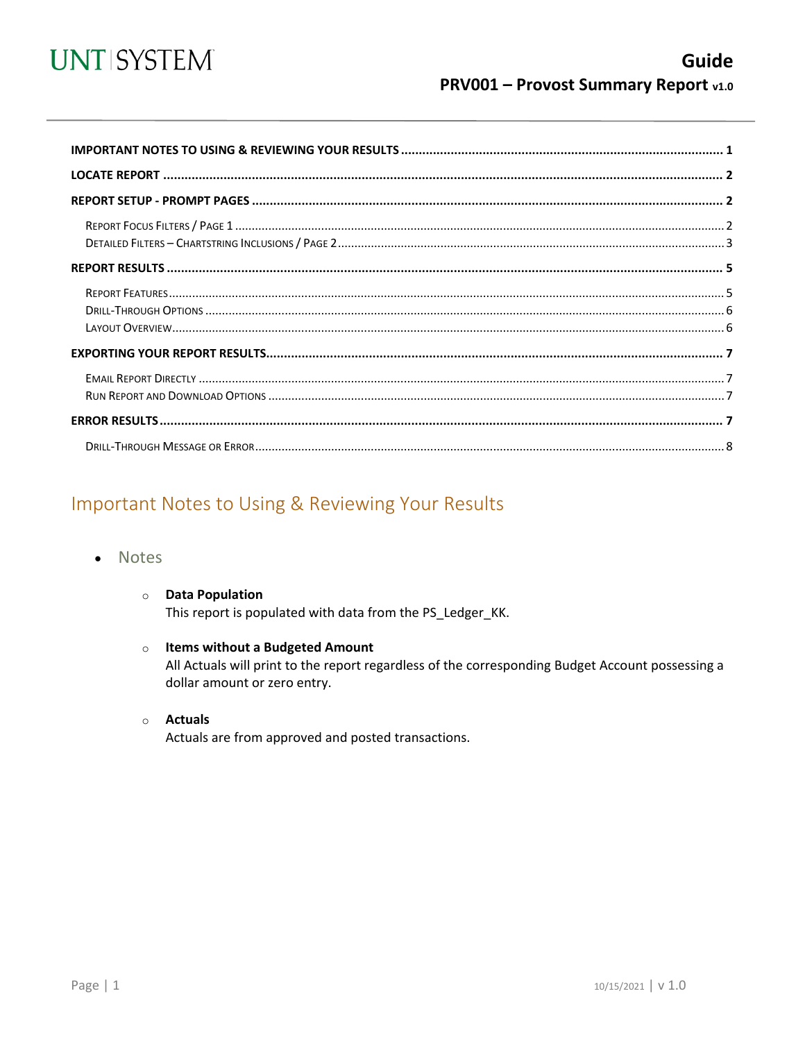

<span id="page-0-1"></span>

# <span id="page-0-0"></span>Important Notes to Using & Reviewing Your Results

- **Notes** 
	- **O** Data Population This report is populated with data from the PS\_Ledger\_KK.
	- o Items without a Budgeted Amount All Actuals will print to the report regardless of the corresponding Budget Account possessing a dollar amount or zero entry.
	- o **Actuals** Actuals are from approved and posted transactions.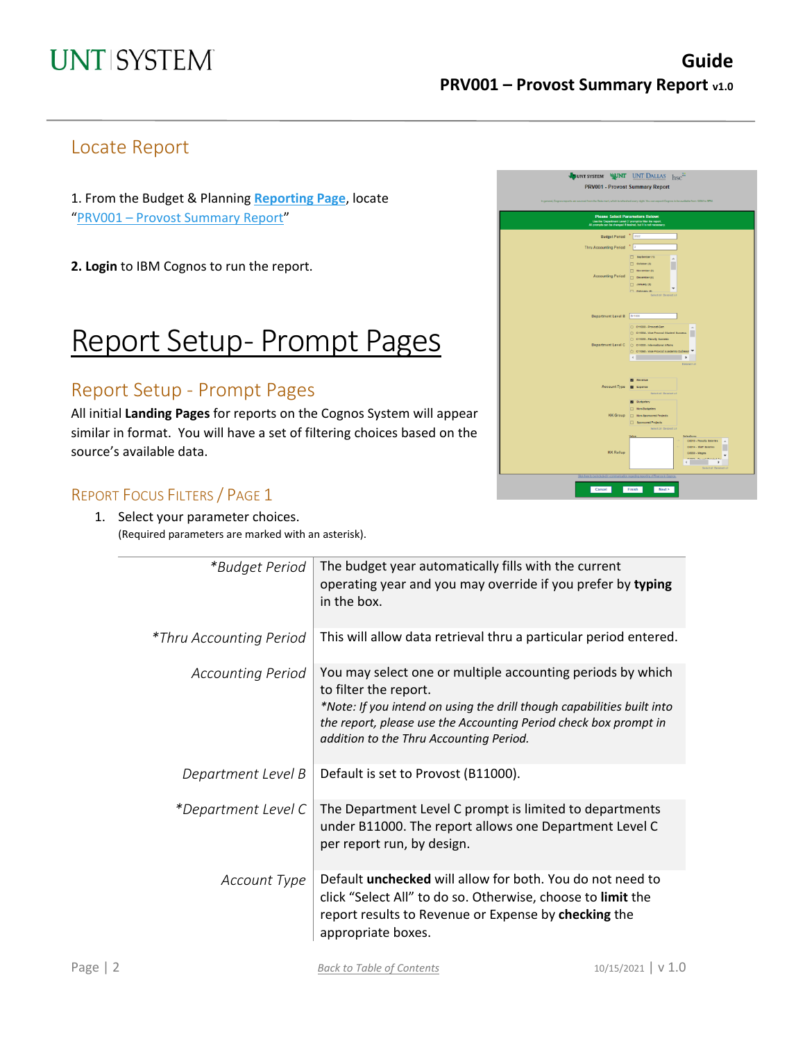# <span id="page-1-0"></span>Locate Report

1. From the Budget & Planning **[Reporting Page](https://finance.untsystem.edu/reporting)**, locate "PRV001 – [Provost Summary Report"](https://cognospd.admin.unt.edu/bi/?pathRef=.public_folders%2FBudget%2Band%2BFinance%2BBasic%2BReports%2FProvost%2FPRV001%2B-%2BProvost%2BSummary%2BReport)

**2. Login** to IBM Cognos to run the report.

# Report Setup- Prompt Pages

### <span id="page-1-1"></span>Report Setup - Prompt Pages

All initial **Landing Pages** for reports on the Cognos System will appear similar in format. You will have a set of filtering choices based on the source's available data.

### <span id="page-1-2"></span>REPORT FOCUS FILTERS / PAGE 1

1. Select your parameter choices. (Required parameters are marked with an asterisk).

| JUNT SYSTEM WINT UNT DALLAS<br><b>PRV001 - Provost Summary Report</b>                                                                                                                                                                                                                                                       | $hsc$ <sup>11</sup>                                                                                                                                                                              |
|-----------------------------------------------------------------------------------------------------------------------------------------------------------------------------------------------------------------------------------------------------------------------------------------------------------------------------|--------------------------------------------------------------------------------------------------------------------------------------------------------------------------------------------------|
| In general, Cognos reports are sourced from the Data mart, which is refreshed every night. You can expect Cognos to be available from 124M to 9PM.<br><b>Please Select Parameters Below:</b><br>Use the 'Department Level C' prompt to filter the report.<br>All prompts can be changed if desired, but it is not necessary |                                                                                                                                                                                                  |
| Budget Period * 2002                                                                                                                                                                                                                                                                                                        |                                                                                                                                                                                                  |
| Thru Accounting Period                                                                                                                                                                                                                                                                                                      | $\frac{1}{2}$                                                                                                                                                                                    |
| <b>Accounting Period</b>                                                                                                                                                                                                                                                                                                    | $\Box$ teplember (1)<br>$\overline{\phantom{a}}$<br>$\Box$ Outsber (2)<br>$\Box$ November (5)<br>December (4)<br><b>CI January (6)</b><br>٠<br><b>CT</b> Fabrican IBL<br>Select all Deselect all |
| <b>Department Level B</b>                                                                                                                                                                                                                                                                                                   | 811000<br>C C11000 - Provost-Gen                                                                                                                                                                 |
| Department Level C                                                                                                                                                                                                                                                                                                          | C C11004 - Vice Provost Student Success<br>C 011020 - Faculty Success<br>C: 011000 - Infernational Affairs<br>O 011060 - Vise Provost Asademic Outmast<br>$\overline{4}$<br>٠                    |
| Account Type                                                                                                                                                                                                                                                                                                                | Deseject all<br><b>B</b> Revenue<br><b>E</b> Expense<br>Select all Deselect all<br><b>B</b> Budgetary                                                                                            |
| <b>KK</b> Group                                                                                                                                                                                                                                                                                                             | Non-Budgetary<br>Non-Sponsored Projects<br><b>Exponsored Projects</b><br>Select all Deselect all                                                                                                 |
| <b>KK Rollup</b>                                                                                                                                                                                                                                                                                                            | Integliges:<br>Value<br>C6010 - Fascity Salaries<br>COD14 - Staff Salaries<br>C6000 - Weges<br>$\epsilon$<br>$\mathbf{b}$<br>Select all Desolact all                                             |
| je stavo sa od za nasla neou na se odnosti za neou radi z razodale od za                                                                                                                                                                                                                                                    |                                                                                                                                                                                                  |
| Cancel                                                                                                                                                                                                                                                                                                                      | Finish<br>Next >                                                                                                                                                                                 |

| *Budget Period           | The budget year automatically fills with the current<br>operating year and you may override if you prefer by typing<br>in the box.                                                                                                                                           |
|--------------------------|------------------------------------------------------------------------------------------------------------------------------------------------------------------------------------------------------------------------------------------------------------------------------|
| *Thru Accounting Period  | This will allow data retrieval thru a particular period entered.                                                                                                                                                                                                             |
| <b>Accounting Period</b> | You may select one or multiple accounting periods by which<br>to filter the report.<br>*Note: If you intend on using the drill though capabilities built into<br>the report, please use the Accounting Period check box prompt in<br>addition to the Thru Accounting Period. |
| Department Level B       | Default is set to Provost (B11000).                                                                                                                                                                                                                                          |
| *Department Level C      | The Department Level C prompt is limited to departments<br>under B11000. The report allows one Department Level C<br>per report run, by design.                                                                                                                              |
| Account Type             | Default unchecked will allow for both. You do not need to<br>click "Select All" to do so. Otherwise, choose to limit the<br>report results to Revenue or Expense by checking the<br>appropriate boxes.                                                                       |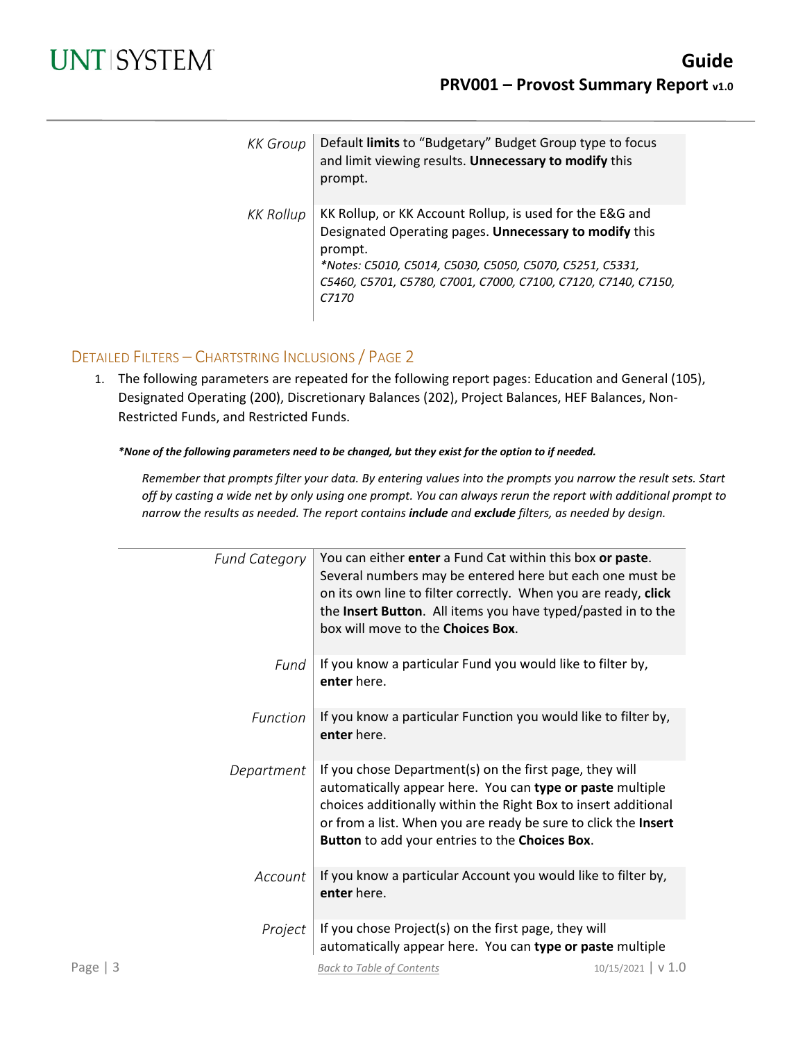| <b>KK</b> Group | Default limits to "Budgetary" Budget Group type to focus<br>and limit viewing results. Unnecessary to modify this<br>prompt.                                                                                                                                         |
|-----------------|----------------------------------------------------------------------------------------------------------------------------------------------------------------------------------------------------------------------------------------------------------------------|
| KK Rollup       | KK Rollup, or KK Account Rollup, is used for the E&G and<br>Designated Operating pages. Unnecessary to modify this<br>prompt.<br>*Notes: C5010, C5014, C5030, C5050, C5070, C5251, C5331,<br>C5460, C5701, C5780, C7001, C7000, C7100, C7120, C7140, C7150,<br>C7170 |

### <span id="page-2-0"></span>DETAILED FILTERS – CHARTSTRING INCLUSIONS / PAGE 2

1. The following parameters are repeated for the following report pages: Education and General (105), Designated Operating (200), Discretionary Balances (202), Project Balances, HEF Balances, Non-Restricted Funds, and Restricted Funds.

#### *\*None of the following parameters need to be changed, but they exist for the option to if needed.*

*Remember that prompts filter your data. By entering values into the prompts you narrow the result sets. Start off by casting a wide net by only using one prompt. You can always rerun the report with additional prompt to narrow the results as needed. The report contains include and exclude filters, as needed by design.*

| <b>Fund Category</b> | You can either enter a Fund Cat within this box or paste.<br>Several numbers may be entered here but each one must be<br>on its own line to filter correctly. When you are ready, click<br>the Insert Button. All items you have typed/pasted in to the<br>box will move to the Choices Box.               |                    |
|----------------------|------------------------------------------------------------------------------------------------------------------------------------------------------------------------------------------------------------------------------------------------------------------------------------------------------------|--------------------|
| Fund                 | If you know a particular Fund you would like to filter by,<br>enter here.                                                                                                                                                                                                                                  |                    |
| Function             | If you know a particular Function you would like to filter by,<br>enter here.                                                                                                                                                                                                                              |                    |
| Department           | If you chose Department(s) on the first page, they will<br>automatically appear here. You can type or paste multiple<br>choices additionally within the Right Box to insert additional<br>or from a list. When you are ready be sure to click the Insert<br>Button to add your entries to the Choices Box. |                    |
| Account              | If you know a particular Account you would like to filter by,<br>enter here.                                                                                                                                                                                                                               |                    |
| Project              | If you chose Project(s) on the first page, they will<br>automatically appear here. You can type or paste multiple                                                                                                                                                                                          |                    |
| Page $ 3$            | <b>Back to Table of Contents</b>                                                                                                                                                                                                                                                                           | 10/15/2021   V 1.0 |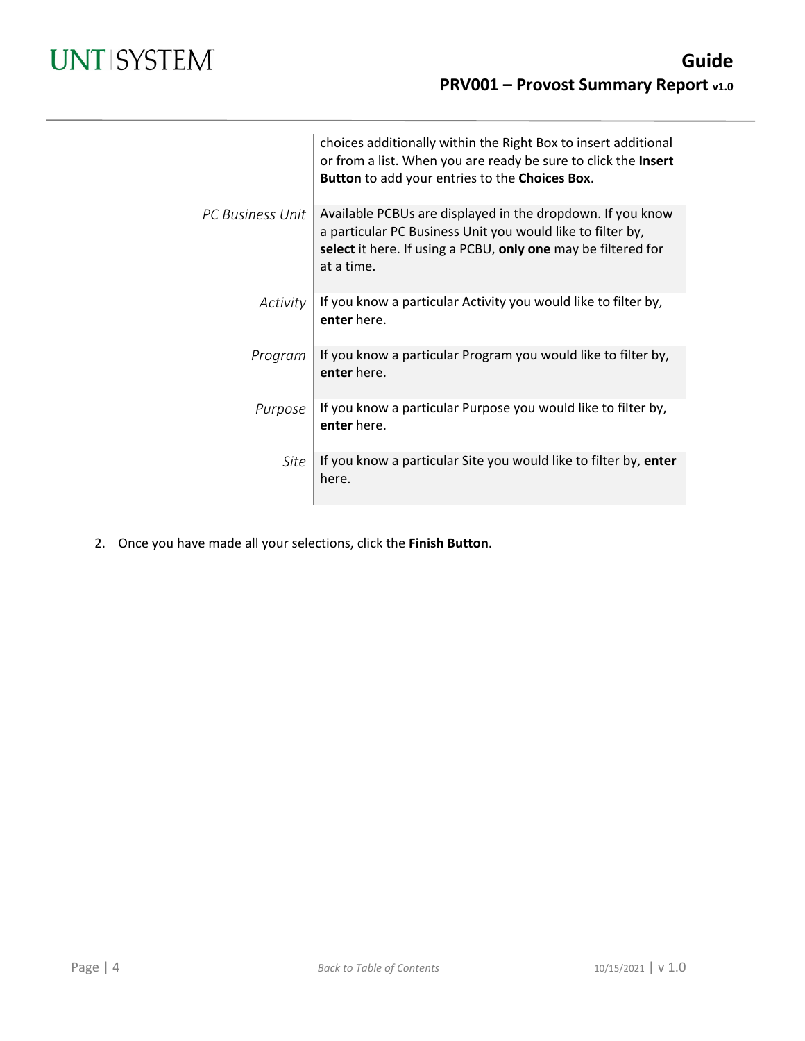|                  | choices additionally within the Right Box to insert additional<br>or from a list. When you are ready be sure to click the Insert<br>Button to add your entries to the Choices Box.                      |
|------------------|---------------------------------------------------------------------------------------------------------------------------------------------------------------------------------------------------------|
| PC Business Unit | Available PCBUs are displayed in the dropdown. If you know<br>a particular PC Business Unit you would like to filter by,<br>select it here. If using a PCBU, only one may be filtered for<br>at a time. |
| Activity         | If you know a particular Activity you would like to filter by,<br>enter here.                                                                                                                           |
| Program          | If you know a particular Program you would like to filter by,<br>enter here.                                                                                                                            |
| Purpose          | If you know a particular Purpose you would like to filter by,<br>enter here.                                                                                                                            |
| Site             | If you know a particular Site you would like to filter by, enter<br>here.                                                                                                                               |

2. Once you have made all your selections, click the **Finish Button**.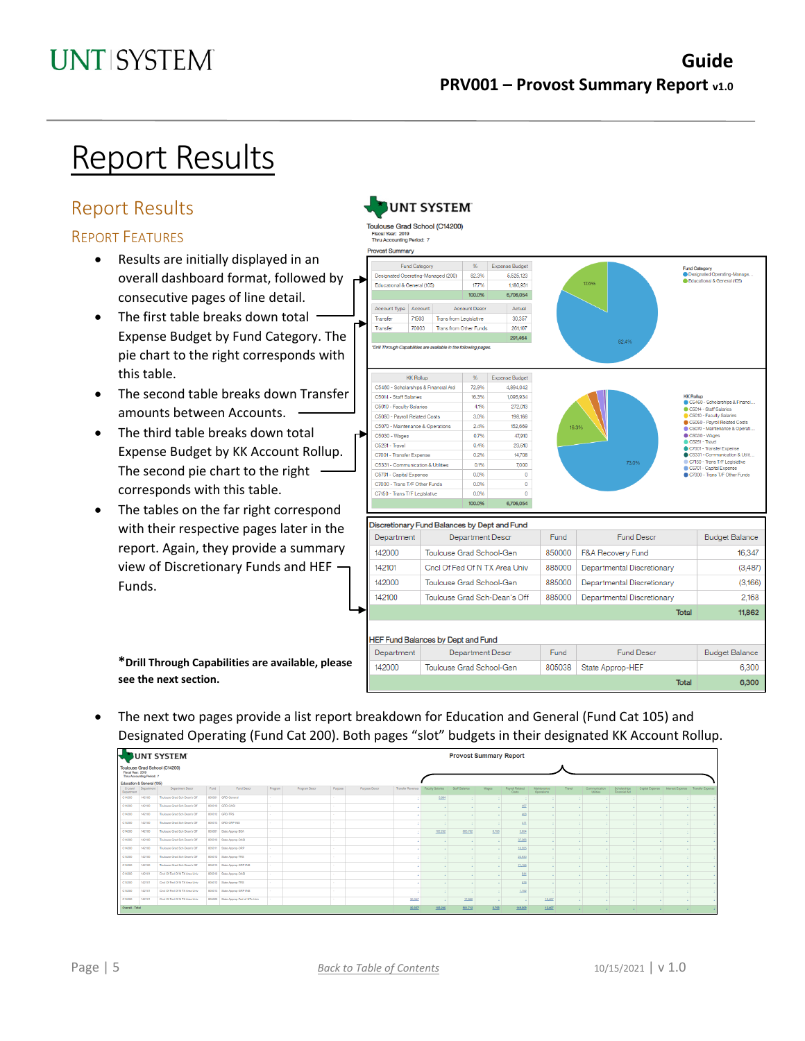# Report Results

# <span id="page-4-0"></span>Report Results

### <span id="page-4-1"></span>REPORT FEATURES

- Results are initially displayed in an overall dashboard format, followed by consecutive pages of line detail.
- The first table breaks down total Expense Budget by Fund Category. The pie chart to the right corresponds with this table.
- The second table breaks down Transfer amounts between Accounts.
- The third table breaks down total Expense Budget by KK Account Rollup. The second pie chart to the right corresponds with this table.
- The tables on the far right correspond with their respective pages later in the report. Again, they provide a summary view of Discretionary Funds and HEF Funds.



**\*Drill Through Capabilities are available, please see the next section.**

• The next two pages provide a list report breakdown for Education and General (Fund Cat 105) and Designated Operating (Fund Cat 200). Both pages "slot" budgets in their designated KK Account Rollup.

|                           |                           | UNT SYSTEM                    |      |                                     |         |               |         |               |                                     |         | <b>Provost Summary Report</b> |       |                                 |                           |        |                          |                               |    |                                                       |  |
|---------------------------|---------------------------|-------------------------------|------|-------------------------------------|---------|---------------|---------|---------------|-------------------------------------|---------|-------------------------------|-------|---------------------------------|---------------------------|--------|--------------------------|-------------------------------|----|-------------------------------------------------------|--|
| Fiscal Year: 2019         | Thru Accounting Period: 7 | Toulouse Grad School (C14200) |      |                                     |         |               |         |               |                                     |         |                               |       |                                 |                           |        |                          |                               |    |                                                       |  |
| Education & General (105) |                           |                               |      |                                     |         |               |         |               |                                     |         |                               |       |                                 |                           |        |                          |                               |    |                                                       |  |
| C-Level<br>Department     | Department                | Department Descr              | Fund | Fund Descr                          | Program | Program Descr | Purpose | Purpose Descr | Transfer Reverue   Faculty Salaries |         | Staff Salaries                | Wages | <b>Payroll Related</b><br>Costs | Maintenance<br>Operations | Travel | Communication<br>Utilies | Scholarships<br>Financial Aid |    | Capital Expense   Interest Expense   Transfer Expense |  |
| C14200                    | 142100                    | Toulouse Grad Sch-Dear's Off  |      | 800001 GRD General                  |         |               |         |               |                                     | 5,994   |                               |       |                                 |                           |        |                          |                               |    |                                                       |  |
| C14200                    | 142100                    | Toulouse Grad Sch-Dear's Off  |      | 800010 GRD-OAS                      |         |               |         |               |                                     |         |                               |       | 457                             |                           |        |                          |                               |    |                                                       |  |
| C14200                    | 142100                    | Toulouse Grad Sch-Dearis Of   |      | 800012 GRD-TRS                      |         |               |         |               |                                     |         |                               |       | $400 -$                         |                           |        |                          |                               |    |                                                       |  |
| C14200                    | 142100                    | Toulouse Grad Sch-Dean's Off  |      | 800013 GRD GRP INS                  |         |               |         |               |                                     |         |                               |       | $411$                           |                           |        |                          |                               |    |                                                       |  |
| C14200                    | 142100                    | Toulouse Grad Sch-Dean's Off  |      | 805001 State Accros-BSA             |         |               |         |               |                                     | 102.252 | 883,762                       | 8,758 | 3,654                           |                           |        |                          |                               |    |                                                       |  |
| C14200                    | 142100                    | Toulouse Grad Sch-Dear's Off  |      | 805010 State Approp CASI            |         |               |         |               |                                     |         |                               |       | 37,266                          |                           |        |                          |                               |    |                                                       |  |
| C14200                    | 142100                    | Toulouse Grad Sch-Dear's Off  |      | 805011 State Approp ORP             |         |               |         |               |                                     |         |                               |       | 10,555                          |                           |        |                          |                               |    |                                                       |  |
| C14200                    | 142100                    | Toulouse Grad Sch-Dean's Off  |      | 805012 State Accroo-TRS             |         |               |         |               |                                     |         |                               |       | 22.930                          |                           |        |                          |                               |    |                                                       |  |
| C14200                    | 142100                    | Toulouse Grad Sch-Dean's Off  |      | 805013 State Accrop GRP INS         |         |               |         |               |                                     |         |                               |       | 71,155                          |                           |        |                          |                               |    |                                                       |  |
| C14200                    | 142101                    | Cred Of Fed Of NTX Area Univ  |      | 805010 State Approp OASI            |         |               |         |               |                                     |         |                               |       | 644                             |                           |        |                          |                               |    |                                                       |  |
| C14200                    | 142101                    | Crid Of Fed Of N TX Area Univ |      | 805012 State Accroo-TRS             |         |               |         |               |                                     |         |                               |       | 578                             |                           |        |                          |                               |    |                                                       |  |
| C14200                    | 142101                    | Crid Of Fed Of N TX Area Univ |      | 805013 State Approp GRP INS         |         |               |         |               |                                     |         |                               |       | 1,752                           |                           |        |                          |                               |    |                                                       |  |
| C14200                    | 142101                    | Cred Of Fed Of NTX Area Univ  |      | 805020 State Approp Fed of NTx Univ |         |               |         |               | 30,357                              |         | 17,950                        |       |                                 | 12,407                    |        |                          |                               |    |                                                       |  |
| Overall - Total           |                           |                               |      |                                     |         |               |         |               | 30,357                              | 103,249 | 001,712                       | 8,758 | 140,000                         | 12,407                    | a.     | 12.                      | 12.                           | ×. |                                                       |  |

## **UNT SYSTEM**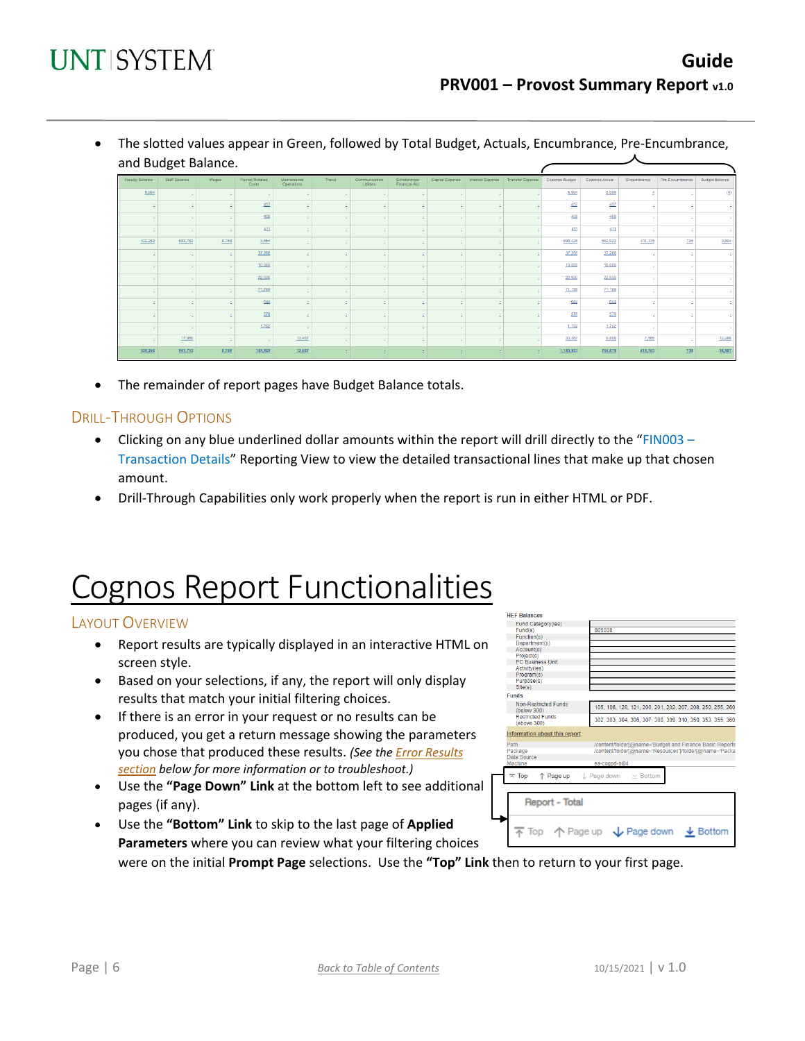• The slotted values appear in Green, followed by Total Budget, Actuals, Encumbrance, Pre-Encumbrance, and Budget Balance.

| <b>Faculty Salaries</b> | Staff Salaries | Wages | Payroll Related<br>Costs | Maintenance<br>Operations | Travel | Communication<br>Utilities | Scholarships<br>Financial Aid |   | Capital Expense   Interest Expense   Transfer Expense   Expense Budget |      |           | Expense Actual | Encumbrance | Pre-Encumbrance | Budget Balance |
|-------------------------|----------------|-------|--------------------------|---------------------------|--------|----------------------------|-------------------------------|---|------------------------------------------------------------------------|------|-----------|----------------|-------------|-----------------|----------------|
| 5,994                   |                |       |                          |                           |        |                            |                               |   |                                                                        |      | 5,994     | 5,995          |             |                 | (4)            |
|                         |                |       | $\underline{457}$        |                           |        |                            |                               |   |                                                                        |      | 457       | 457            |             |                 |                |
|                         |                |       | $\underline{408}$        |                           |        |                            |                               |   |                                                                        |      | 408       | 408            |             |                 |                |
|                         |                |       | 411                      |                           |        |                            |                               |   |                                                                        |      | 411       | 411            |             |                 |                |
| 102,252                 | 883,762        | 8,758 | 3,654                    |                           |        |                            |                               |   |                                                                        |      | 998,425   | 582,922        | 411,175     | 724             | 3,604          |
|                         |                |       | 37,266                   |                           |        |                            |                               |   |                                                                        |      | 37,266    | 37,266         |             |                 |                |
|                         |                |       | 10,555                   |                           |        |                            |                               |   |                                                                        |      | 10,555    | 10,555         |             |                 |                |
|                         |                |       | 22,930                   |                           |        |                            |                               |   |                                                                        |      | 22,930    | 22,930         |             |                 |                |
|                         |                |       | 71,155                   |                           |        |                            |                               |   |                                                                        |      | 71,155    | 71,155         |             |                 |                |
|                         |                |       | 644                      |                           |        |                            |                               |   |                                                                        |      | 644       | 644            |             |                 |                |
|                         |                |       | 578                      |                           |        |                            |                               |   |                                                                        |      | 578       | 578            |             |                 |                |
|                         |                |       | 1,752                    |                           |        |                            |                               |   |                                                                        |      | 1,752     | 1,752          |             |                 |                |
|                         | 17,950         |       | $\sim$                   | 12,407                    |        | ٠                          |                               |   |                                                                        |      | 30,357    | 9,806          | 7,565       |                 | 12,986         |
| 108,246                 | 501,712        | 8,758 | 149,809                  | 12,407                    | $\sim$ | ÷.                         | ÷.                            | × | и.                                                                     | ia l | 1,180,931 | 744,878        | 418,743     | 724             | 16,587         |

• The remainder of report pages have Budget Balance totals.

#### <span id="page-5-0"></span>DRILL-THROUGH OPTIONS

- Clicking on any blue underlined dollar amounts within the report will drill directly to the "FIN003 -Transaction Details" Reporting View to view the detailed transactional lines that make up that chosen amount.
- Drill-Through Capabilities only work properly when the report is run in either HTML or PDF.

# Cognos Report Functionalities

#### <span id="page-5-1"></span>LAYOUT OVERVIEW

- Report results are typically displayed in an interactive HTML on screen style.
- Based on your selections, if any, the report will only display results that match your initial filtering choices.
- If there is an error in your request or no results can be produced, you get a return message showing the parameters you chose that produced these results. *(See the [Error Results](#page-6-3)  [section](#page-6-3) below for more information or to troubleshoot.)*
- Use the **"Page Down" Link** at the bottom left to see additional pages (if any).
- **HEF Balances** Fire Balances<br>Fund(s)<br>Fund(s)<br>Department(s)<br>Department(s)<br>Account(s)<br>Project(s) 805038 Project(s)<br>PC Business Unit<br>Activity(ies) Activity(les)<br>Program(s)<br>Purpose(s)<br>Site(s) **Funds** Non-Restricted Funds<br>(below 300)<br>Restricted Funds<br>(above 300) 105, 106, 120, 121, 200, 201, 202, 207, 208, 250, 255, 260 302, 303, 304, 306, 307, 308, 309, 310, 350, 353, 355, 360 Information about this report /content/folder[@name='Budget and Finance Basic Reports<br>/content/folder[@name='Resources']/folder[@name='Packa Data S  $\overline{\wedge}$  Top ↑ Page up **Botto** Report - Total  $\overline{\uparrow}$  Top  $\uparrow$  Page up  $\downarrow$  Page down  $\frac{1}{2}$  Bottom
- Use the **"Bottom" Link** to skip to the last page of **Applied Parameters** where you can review what your filtering choices were on the initial **Prompt Page** selections. Use the **"Top" Link** then to return to your first page.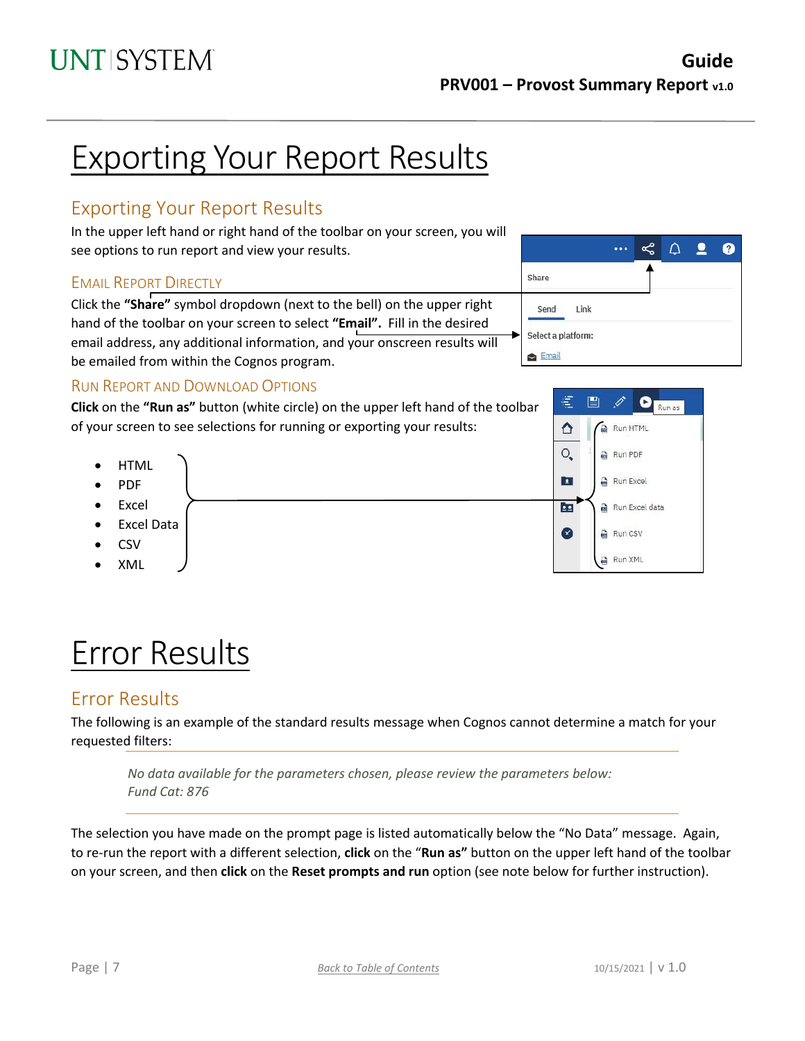# Exporting Your Report Results

# <span id="page-6-0"></span>Exporting Your Report Results

In the upper left hand or right hand of the toolbar on your screen, you will see options to run report and view your results.

#### <span id="page-6-1"></span>EMAIL REPORT DIRECTLY

Click the **"Share"** symbol dropdown (next to the bell) on the upper right hand of the toolbar on your screen to select **"Email".** Fill in the desired email address, any additional information, and your onscreen results will be emailed from within the Cognos program.



### <span id="page-6-2"></span>RUN REPORT AND DOWNLOAD OPTIONS

**Click** on the **"Run as"** button (white circle) on the upper left hand of the toolbar of your screen to see selections for running or exporting your results:

- **HTML**
- PDF
- Excel
- Excel Data
- CSV
- XML

# Error Results

### <span id="page-6-3"></span>Error Results

The following is an example of the standard results message when Cognos cannot determine a match for your requested filters:

*No data available for the parameters chosen, please review the parameters below: Fund Cat: 876*

The selection you have made on the prompt page is listed automatically below the "No Data" message. Again, to re-run the report with a different selection, **click** on the "**Run as"** button on the upper left hand of the toolbar on your screen, and then **click** on the **Reset prompts and run** option (see note below for further instruction).